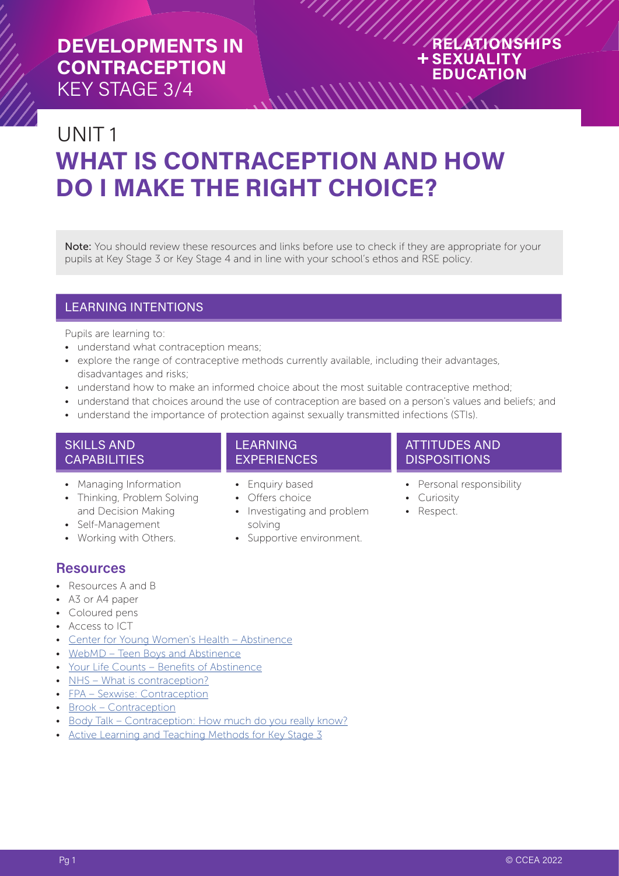## RELATIONSHIPS **+SEXUALITY EDUCATION**

# UNIT 1 **WHAT IS CONTRACEPTION AND HOW DO I MAKE THE RIGHT CHOICE?**

Note: You should review these resources and links before use to check if they are appropriate for your pupils at Key Stage 3 or Key Stage 4 and in line with your school's ethos and RSE policy.

 $\frac{1}{\sqrt{2}}$ 

## LEARNING INTENTIONS

Pupils are learning to:

- understand what contraception means;
- explore the range of contraceptive methods currently available, including their advantages, disadvantages and risks;
- understand how to make an informed choice about the most suitable contraceptive method;
- understand that choices around the use of contraception are based on a person's values and beliefs; and
- understand the importance of protection against sexually transmitted infections (STIs).

## SKILLS AND **CAPABILITIES**

- Managing Information
- Thinking, Problem Solving and Decision Making
- Self-Management
- Working with Others.

## **Resources**

- Resources A and B
- A3 or A4 paper
- Coloured pens
- Access to ICT
- [Center for Young Women's Health Abstinence](https://youngwomenshealth.org/2013/02/22/abstinence/)
- [WebMD Teen Boys and Abstinence](https://teens.webmd.com/boys/teen-boys-abstinence#1)
- [Your Life Counts Benefits of Abstinence](https://yourlifecounts.org/learning-center/sex/benefits-of-abstinence/)
- [NHS What is contraception?](https://www.nhs.uk/conditions/contraception/what-is-contraception/)
- [FPA Sexwise: Contraception](http://www.sexwise.org.uk/contraception)
- [Brook Contraception](https://www.brook.org.uk/your-life/category/contraception)
- [Body Talk Contraception: How much do you really know?](https://bodytalk.org.au/quizzes/contraception-how-much-do-you-really-know/)
- [Active Learning and Teaching Methods for Key Stage 3](https://ccea.org.uk/document/1111)

## LEARNING EXPERIENCES

- Enquiry based
- Offers choice
- Investigating and problem solving
- Supportive environment.

#### ATTITUDES AND **DISPOSITIONS**

- Personal responsibility
- Curiosity
- Respect.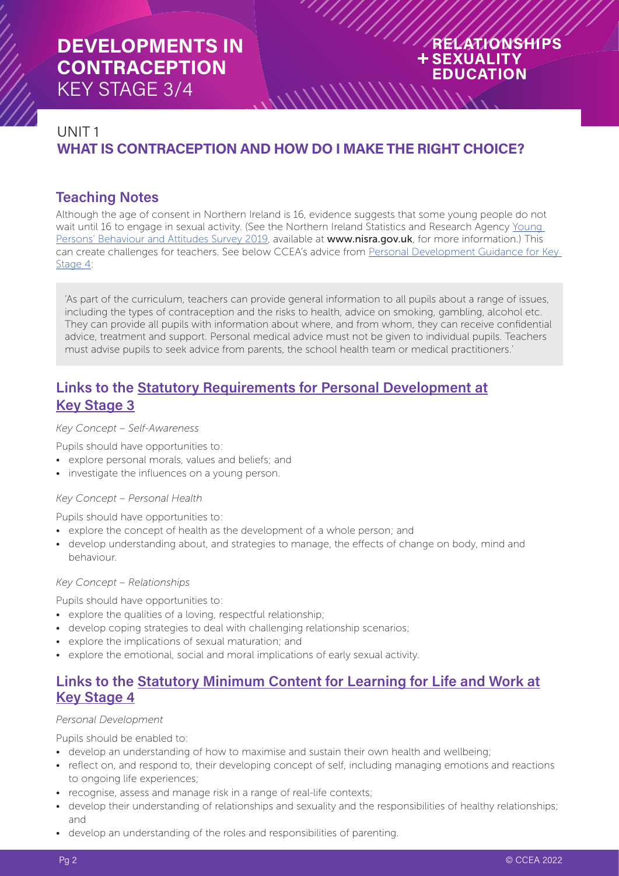## RELATIONSHIPS **+SEXUALITY EDUCATION**

## UNIT 1 **WHAT IS CONTRACEPTION AND HOW DO I MAKE THE RIGHT CHOICE?**

 $\frac{1}{\sqrt{2}}$ 

## **Teaching Notes**

Although the age of consent in Northern Ireland is 16, evidence suggests that some young people do not wait until 16 to engage in sexual activity. (See the Northern Ireland Statistics and Research Agency [Young](https://www.nisra.gov.uk/publications/young-persons-behaviour-and-attitude-survey-2019)  [Persons' Behaviour and Attitudes Survey 2019](https://www.nisra.gov.uk/publications/young-persons-behaviour-and-attitude-survey-2019), available at www.nisra.gov.uk, for more information.) This can create challenges for teachers. See below CCEA's advice from [Personal Development Guidance for Key](https://ccea.org.uk/document/1535)  [Stage 4](https://ccea.org.uk/document/1535):

'As part of the curriculum, teachers can provide general information to all pupils about a range of issues, including the types of contraception and the risks to health, advice on smoking, gambling, alcohol etc. They can provide all pupils with information about where, and from whom, they can receive confidential advice, treatment and support. Personal medical advice must not be given to individual pupils. Teachers must advise pupils to seek advice from parents, the school health team or medical practitioners.'

## **Links to the [Statutory Requirements for Personal Development at](https://ccea.org.uk/document/941) [Key Stage 3](https://ccea.org.uk/document/941)**

*Key Concept – Self-Awareness*

Pupils should have opportunities to:

- explore personal morals, values and beliefs; and
- investigate the influences on a young person.

#### *Key Concept – Personal Health*

Pupils should have opportunities to:

- explore the concept of health as the development of a whole person; and
- develop understanding about, and strategies to manage, the effects of change on body, mind and behaviour.

#### *Key Concept – Relationships*

Pupils should have opportunities to:

- explore the qualities of a loving, respectful relationship;
- develop coping strategies to deal with challenging relationship scenarios;
- explore the implications of sexual maturation; and
- explore the emotional, social and moral implications of early sexual activity.

## **Links to the [Statutory Minimum Content for Learning for Life and Work at](https://ccea.org.uk/document/909) [Key Stage 4](https://ccea.org.uk/document/909)**

#### *Personal Development*

Pupils should be enabled to:

- develop an understanding of how to maximise and sustain their own health and wellbeing;
- reflect on, and respond to, their developing concept of self, including managing emotions and reactions to ongoing life experiences;
- recognise, assess and manage risk in a range of real-life contexts;
- develop their understanding of relationships and sexuality and the responsibilities of healthy relationships; and
- develop an understanding of the roles and responsibilities of parenting.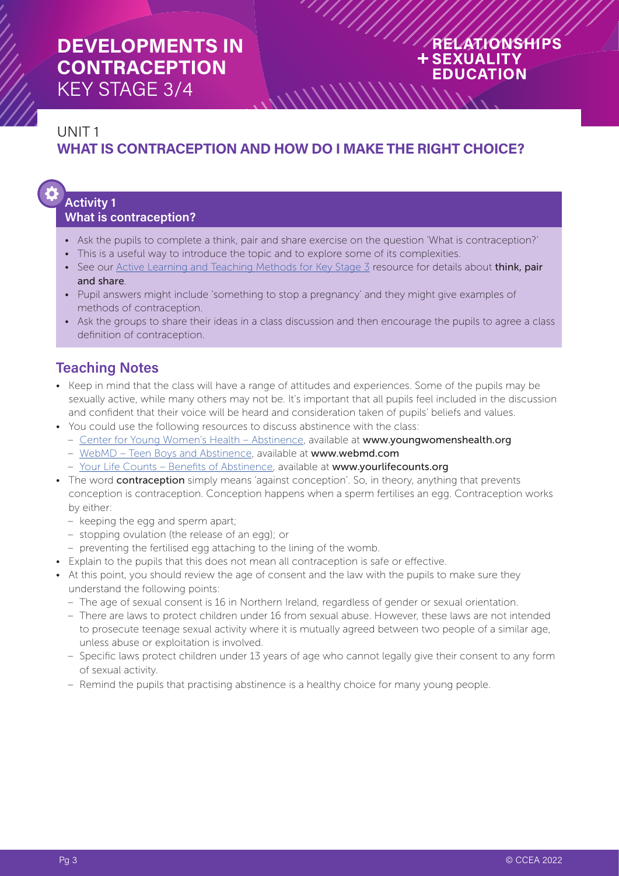## RELATIONSHIPS **+SEXUALITY EDUCATION**

## UNIT 1 **WHAT IS CONTRACEPTION AND HOW DO I MAKE THE RIGHT CHOICE?**

 $\frac{1}{\sqrt{2}}$ 

# **Activity 1**

## **What is contraception?**

- Ask the pupils to complete a think, pair and share exercise on the question 'What is contraception?'
- This is a useful way to introduce the topic and to explore some of its complexities.
- See our [Active Learning and Teaching Methods for Key Stage 3](https://ccea.org.uk/document/1111) resource for details about think, pair and share.
- Pupil answers might include 'something to stop a pregnancy' and they might give examples of methods of contraception.
- Ask the groups to share their ideas in a class discussion and then encourage the pupils to agree a class definition of contraception.

## **Teaching Notes**

- Keep in mind that the class will have a range of attitudes and experiences. Some of the pupils may be sexually active, while many others may not be. It's important that all pupils feel included in the discussion and confident that their voice will be heard and consideration taken of pupils' beliefs and values.
- You could use the following resources to discuss abstinence with the class:
	- [Center for Young Women's Health Abstinence,](https://youngwomenshealth.org/2013/02/22/abstinence/) available at www.youngwomenshealth.org
	- [WebMD Teen Boys and Abstinence](https://teens.webmd.com/boys/teen-boys-abstinence#1), available at www.webmd.com
	- [Your Life Counts Benefits of Abstinence](https://yourlifecounts.org/learning-center/sex/benefits-of-abstinence/), available at www.yourlifecounts.org
- The word **contraception** simply means 'against conception'. So, in theory, anything that prevents conception is contraception. Conception happens when a sperm fertilises an egg. Contraception works by either:
	- keeping the egg and sperm apart;
	- stopping ovulation (the release of an egg); or
	- preventing the fertilised egg attaching to the lining of the womb.
- Explain to the pupils that this does not mean all contraception is safe or effective.
- At this point, you should review the age of consent and the law with the pupils to make sure they understand the following points:
	- The age of sexual consent is 16 in Northern Ireland, regardless of gender or sexual orientation.
	- There are laws to protect children under 16 from sexual abuse. However, these laws are not intended to prosecute teenage sexual activity where it is mutually agreed between two people of a similar age, unless abuse or exploitation is involved.
	- Specific laws protect children under 13 years of age who cannot legally give their consent to any form of sexual activity.
	- Remind the pupils that practising abstinence is a healthy choice for many young people.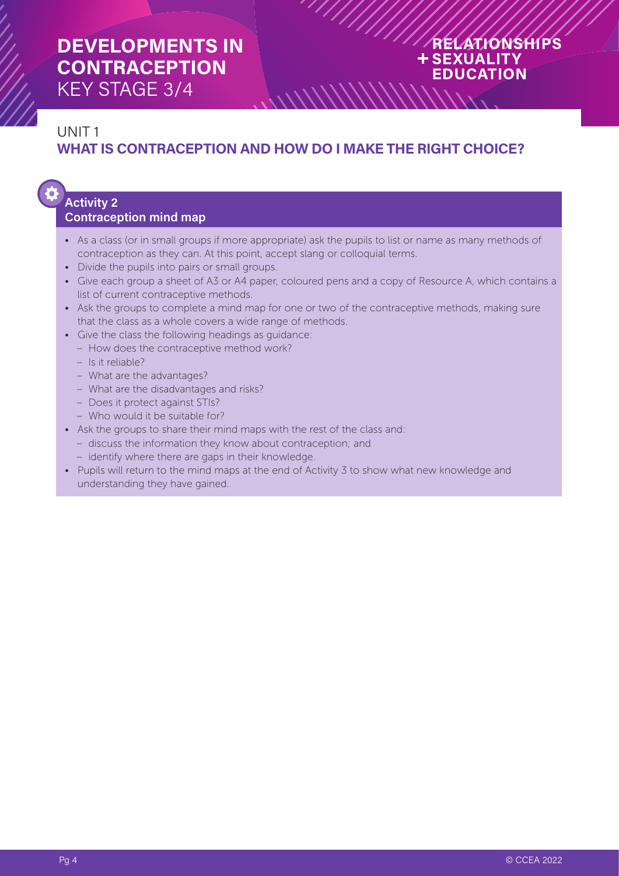## RELATIONSHIPS **+SEXUALITY EDUCATION**

## UNIT 1 **WHAT IS CONTRACEPTION AND HOW DO I MAKE THE RIGHT CHOICE?**

 $\frac{1}{2}$ 

 $\mathcal{U} \mathcal{U} \mathcal{U} \mathcal{U} \mathcal{U} \mathcal{U} \mathcal{U} \mathcal{U}$ 

# **Activity 2**

## **Contraception mind map**

- As a class (or in small groups if more appropriate) ask the pupils to list or name as many methods of contraception as they can. At this point, accept slang or colloquial terms.
- Divide the pupils into pairs or small groups.
- Give each group a sheet of A3 or A4 paper, coloured pens and a copy of Resource A, which contains a list of current contraceptive methods.
- Ask the groups to complete a mind map for one or two of the contraceptive methods, making sure that the class as a whole covers a wide range of methods.
- Give the class the following headings as guidance:
	- How does the contraceptive method work?
	- Is it reliable?
	- What are the advantages?
	- What are the disadvantages and risks?
	- Does it protect against STIs?
	- Who would it be suitable for?
- Ask the groups to share their mind maps with the rest of the class and:
	- discuss the information they know about contraception; and
	- identify where there are gaps in their knowledge.
- Pupils will return to the mind maps at the end of Activity 3 to show what new knowledge and understanding they have gained.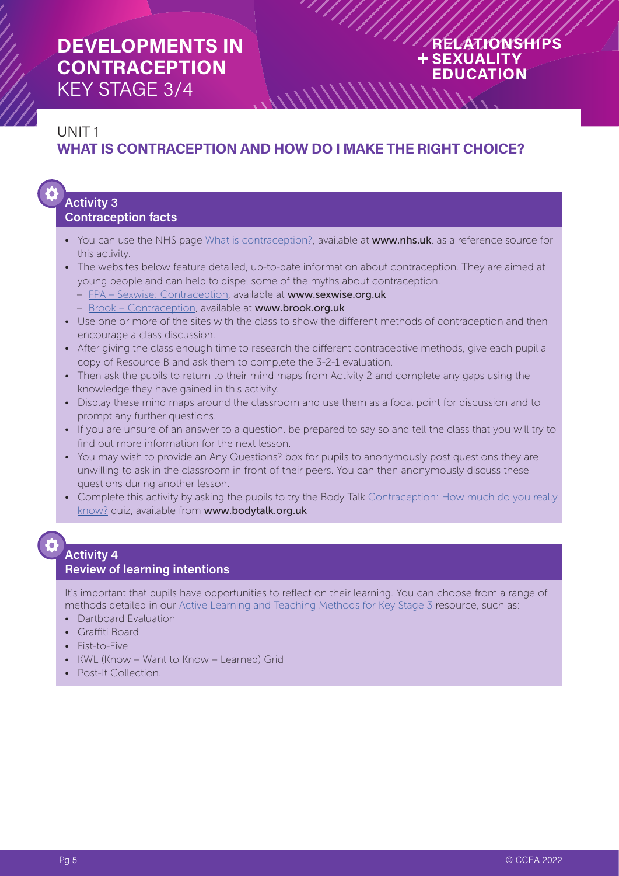## RELATIONSHIPS **+SEXUALITY EDUCATION**

## UNIT 1 **WHAT IS CONTRACEPTION AND HOW DO I MAKE THE RIGHT CHOICE?**

 $\frac{1}{\sqrt{2}}$ 

#### **Activity 3 Contraception facts**

- You can use the NHS page [What is contraception?,](https://www.nhs.uk/conditions/contraception/what-is-contraception/) available at www.nhs.uk, as a reference source for this activity.
- The websites below feature detailed, up-to-date information about contraception. They are aimed at young people and can help to dispel some of the myths about contraception.
	- [FPA Sexwise: Contraception](https://www.sexwise.org.uk/contraception), available at www.sexwise.org.uk
	- [Brook Contraception](https://www.brook.org.uk/topics/contraception/), available at www.brook.org.uk
- Use one or more of the sites with the class to show the different methods of contraception and then encourage a class discussion.
- After giving the class enough time to research the different contraceptive methods, give each pupil a copy of Resource B and ask them to complete the 3-2-1 evaluation.
- Then ask the pupils to return to their mind maps from Activity 2 and complete any gaps using the knowledge they have gained in this activity.
- Display these mind maps around the classroom and use them as a focal point for discussion and to prompt any further questions.
- If you are unsure of an answer to a question, be prepared to say so and tell the class that you will try to find out more information for the next lesson.
- You may wish to provide an Any Questions? box for pupils to anonymously post questions they are unwilling to ask in the classroom in front of their peers. You can then anonymously discuss these questions during another lesson.
- Complete this activity by asking the pupils to try the Body Talk [Contraception: How much do you really](https://bodytalk.org.au/quizzes/contraception-how-much-do-you-really-know/) [know?](https://bodytalk.org.au/quizzes/contraception-how-much-do-you-really-know/) quiz, available from www.bodytalk.org.uk

## **Activity 4**

## **Review of learning intentions**

It's important that pupils have opportunities to reflect on their learning. You can choose from a range of methods detailed in our [Active Learning and Teaching Methods for Key Stage 3](https://ccea.org.uk/document/1111) resource, such as:

- Dartboard Evaluation
- Graffiti Board
- Fist-to-Five
- KWL (Know Want to Know Learned) Grid
- Post-It Collection.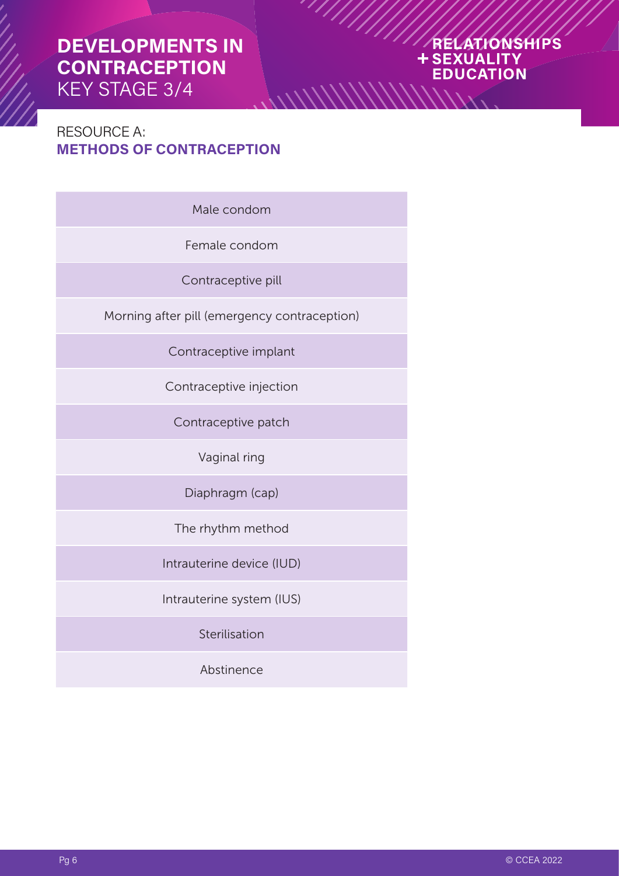#### ATIONSHIPS **SEXUALITY** 4 **EDUCATION**

## RESOURCE A: **METHODS OF CONTRACEPTION**

Male condom

 $\frac{1}{2}$ 

Female condom

Contraceptive pill

Morning after pill (emergency contraception)

Contraceptive implant

Contraceptive injection

Contraceptive patch

Vaginal ring

Diaphragm (cap)

The rhythm method

Intrauterine device (IUD)

Intrauterine system (IUS)

Sterilisation

Abstinence